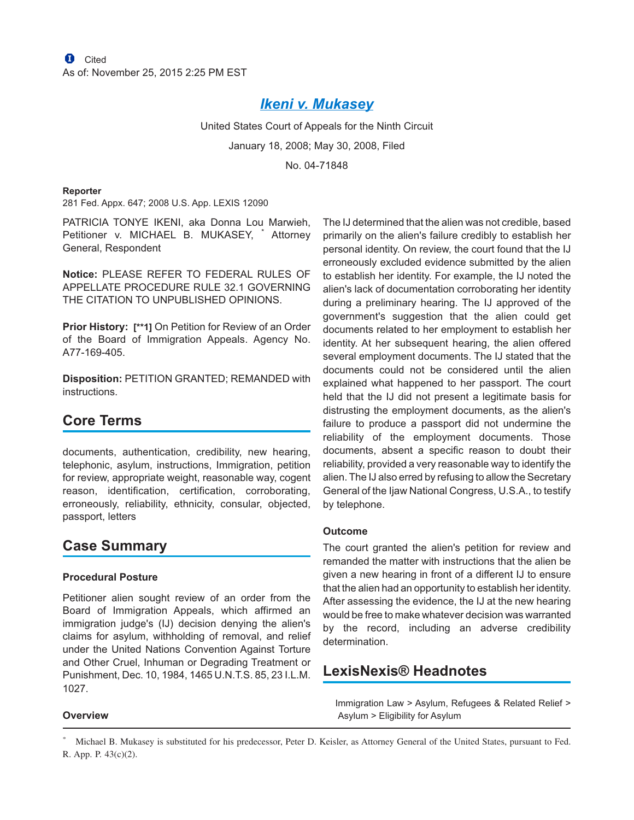# *[Ikeni v. Mukasey](http://advance.lexis.com/api/document?collection=cases&id=urn:contentItem:4SNR-NTT0-TXFX-D27G-00000-00&context=1000516)*

United States Court of Appeals for the Ninth Circuit

January 18, 2008; May 30, 2008, Filed

No. 04-71848

#### **Reporter**

281 Fed. Appx. 647; 2008 U.S. App. LEXIS 12090

PATRICIA TONYE IKENI, aka Donna Lou Marwieh, Petitioner v. MICHAEL B. MUKASEY, \* Attorney General, Respondent

**Notice:** PLEASE REFER TO FEDERAL RULES OF APPELLATE PROCEDURE RULE 32.1 GOVERNING THE CITATION TO UNPUBLISHED OPINIONS.

**Prior History: [\*\*1]** On Petition for Review of an Order of the Board of Immigration Appeals. Agency No. A77-169-405.

**Disposition:** PETITION GRANTED; REMANDED with instructions.

# **Core Terms**

documents, authentication, credibility, new hearing, telephonic, asylum, instructions, Immigration, petition for review, appropriate weight, reasonable way, cogent reason, identification, certification, corroborating, erroneously, reliability, ethnicity, consular, objected, passport, letters

## **Case Summary**

### **Procedural Posture**

Petitioner alien sought review of an order from the Board of Immigration Appeals, which affirmed an immigration judge's (IJ) decision denying the alien's claims for asylum, withholding of removal, and relief under the United Nations Convention Against Torture and Other Cruel, Inhuman or Degrading Treatment or Punishment, Dec. 10, 1984, 1465 U.N.T.S. 85, 23 I.L.M. 1027.

The IJ determined that the alien was not credible, based primarily on the alien's failure credibly to establish her personal identity. On review, the court found that the IJ erroneously excluded evidence submitted by the alien to establish her identity. For example, the IJ noted the alien's lack of documentation corroborating her identity during a preliminary hearing. The IJ approved of the government's suggestion that the alien could get documents related to her employment to establish her identity. At her subsequent hearing, the alien offered several employment documents. The IJ stated that the documents could not be considered until the alien explained what happened to her passport. The court held that the IJ did not present a legitimate basis for distrusting the employment documents, as the alien's failure to produce a passport did not undermine the reliability of the employment documents. Those documents, absent a specific reason to doubt their reliability, provided a very reasonable way to identify the alien. The IJ also erred by refusing to allow the Secretary General of the Ijaw National Congress, U.S.A., to testify by telephone.

### **Outcome**

The court granted the alien's petition for review and remanded the matter with instructions that the alien be given a new hearing in front of a different IJ to ensure that the alien had an opportunity to establish her identity. After assessing the evidence, the IJ at the new hearing would be free to make whatever decision was warranted by the record, including an adverse credibility determination.

## **LexisNexis® Headnotes**

Immigration Law > Asylum, Refugees & Related Relief > Asylum > Eligibility for Asylum

### **Overview**

<sup>\*</sup> Michael B. Mukasey is substituted for his predecessor, Peter D. Keisler, as Attorney General of the United States, pursuant to Fed. R. App. P. 43(c)(2).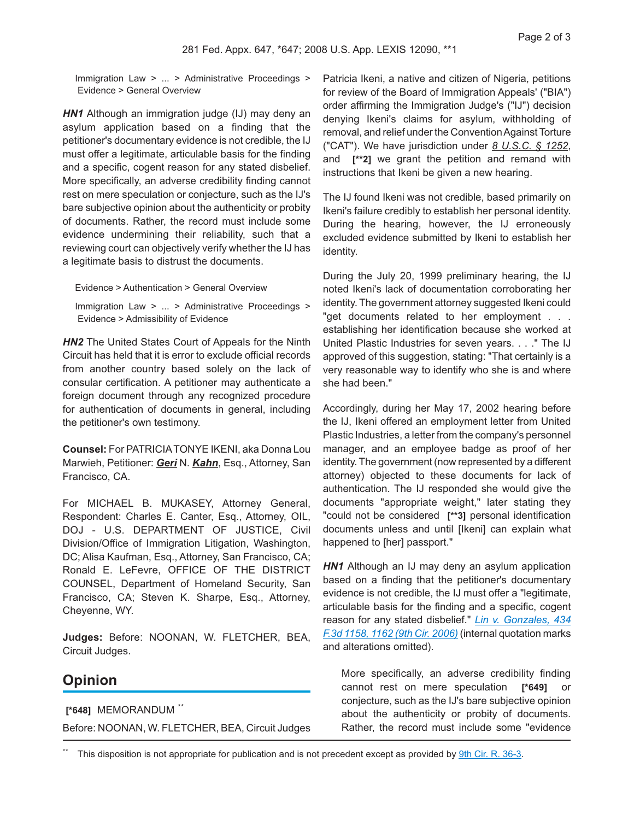Immigration Law > ... > Administrative Proceedings > Evidence > General Overview

**HN1** Although an immigration judge (IJ) may deny an asylum application based on a finding that the petitioner's documentary evidence is not credible, the IJ must offer a legitimate, articulable basis for the finding and a specific, cogent reason for any stated disbelief. More specifically, an adverse credibility finding cannot rest on mere speculation or conjecture, such as the IJ's bare subjective opinion about the authenticity or probity of documents. Rather, the record must include some evidence undermining their reliability, such that a reviewing court can objectively verify whether the IJ has a legitimate basis to distrust the documents.

Evidence > Authentication > General Overview

Immigration Law > ... > Administrative Proceedings > Evidence > Admissibility of Evidence

**HN2** The United States Court of Appeals for the Ninth Circuit has held that it is error to exclude official records from another country based solely on the lack of consular certification. A petitioner may authenticate a foreign document through any recognized procedure for authentication of documents in general, including the petitioner's own testimony.

**Counsel:** For PATRICIATONYE IKENI, aka Donna Lou Marwieh, Petitioner: *Geri* N. *Kahn*, Esq., Attorney, San Francisco, CA.

For MICHAEL B. MUKASEY, Attorney General, Respondent: Charles E. Canter, Esq., Attorney, OIL, DOJ - U.S. DEPARTMENT OF JUSTICE, Civil Division/Office of Immigration Litigation, Washington, DC; Alisa Kaufman, Esq., Attorney, San Francisco, CA; Ronald E. LeFevre, OFFICE OF THE DISTRICT COUNSEL, Department of Homeland Security, San Francisco, CA; Steven K. Sharpe, Esq., Attorney, Cheyenne, WY.

**Judges:** Before: NOONAN, W. FLETCHER, BEA, Circuit Judges.

## **Opinion**

**[\*648]** MEMORANDUM \*\*

Before: NOONAN, W. FLETCHER, BEA, Circuit Judges

Patricia Ikeni, a native and citizen of Nigeria, petitions for review of the Board of Immigration Appeals' ("BIA") order affirming the Immigration Judge's ("IJ") decision denying Ikeni's claims for asylum, withholding of removal, and relief under the ConventionAgainst Torture ("CAT"). We have jurisdiction under *8 U.S.C. § 1252*, and **[\*\*2]** we grant the petition and remand with instructions that Ikeni be given a new hearing.

The IJ found Ikeni was not credible, based primarily on Ikeni's failure credibly to establish her personal identity. During the hearing, however, the IJ erroneously excluded evidence submitted by Ikeni to establish her identity.

During the July 20, 1999 preliminary hearing, the IJ noted Ikeni's lack of documentation corroborating her identity. The government attorney suggested Ikeni could "get documents related to her employment . . . establishing her identification because she worked at United Plastic Industries for seven years. . . ." The IJ approved of this suggestion, stating: "That certainly is a very reasonable way to identify who she is and where she had been."

Accordingly, during her May 17, 2002 hearing before the IJ, Ikeni offered an employment letter from United Plastic Industries, a letter from the company's personnel manager, and an employee badge as proof of her identity. The government (now represented by a different attorney) objected to these documents for lack of authentication. The IJ responded she would give the documents "appropriate weight," later stating they "could not be considered **[\*\*3]** personal identification documents unless and until [Ikeni] can explain what happened to [her] passport."

**HN1** Although an IJ may deny an asylum application based on a finding that the petitioner's documentary evidence is not credible, the IJ must offer a "legitimate, articulable basis for the finding and a specific, cogent reason for any stated disbelief." *[Lin v. Gonzales, 434](http://advance.lexis.com/api/document?collection=cases&id=urn:contentItem:4J1C-JWP0-0038-X1S5-00000-00&context=1000516) [F.3d 1158, 1162 \(9th Cir. 2006\)](http://advance.lexis.com/api/document?collection=cases&id=urn:contentItem:4J1C-JWP0-0038-X1S5-00000-00&context=1000516)* (internal quotation marks and alterations omitted).

More specifically, an adverse credibility finding cannot rest on mere speculation [\*649] conjecture, such as the IJ's bare subjective opinion about the authenticity or probity of documents. Rather, the record must include some "evidence

This disposition is not appropriate for publication and is not precedent except as provided by [9th Cir. R. 36-3.](http://advance.lexis.com/api/document?collection=statutes-legislation&id=urn:contentItem:4YF7-GRV1-NRF4-41B7-00000-00&context=1000516)